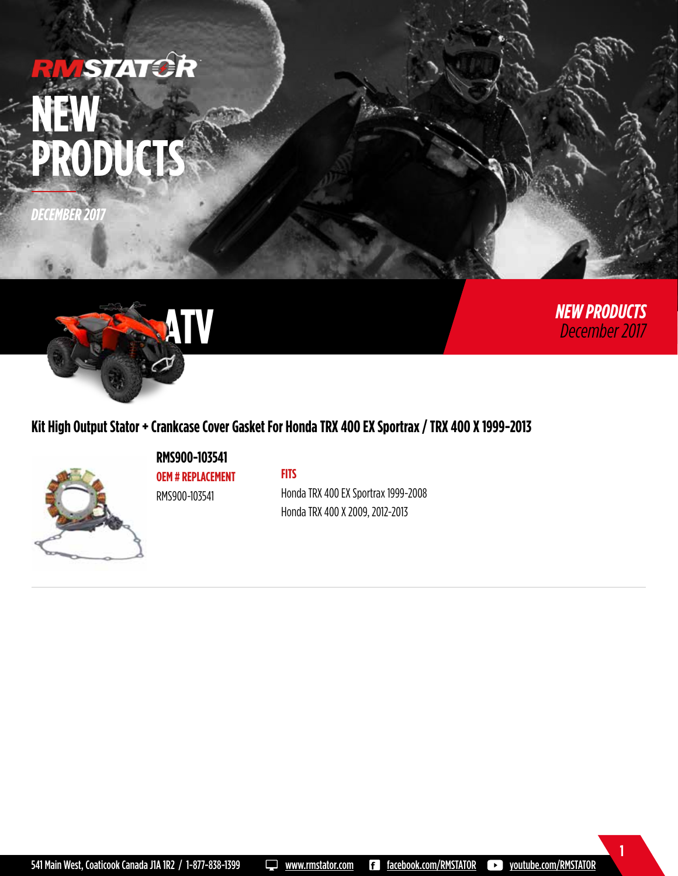# **ISTATCR NEW**  PRODUCT

*DECEMBER 2017*



**1**

*NEW PRODUCTS December 2017*



# **Kit High Output Stator + Crankcase Cover Gasket For Honda TRX 400 EX Sportrax / TRX 400 X 1999-2013**



**RMS900-103541 OEM # REPLACEMENT** RMS900-103541

#### **FITS**

Honda TRX 400 EX Sportrax 1999-2008 Honda TRX 400 X 2009, 2012-2013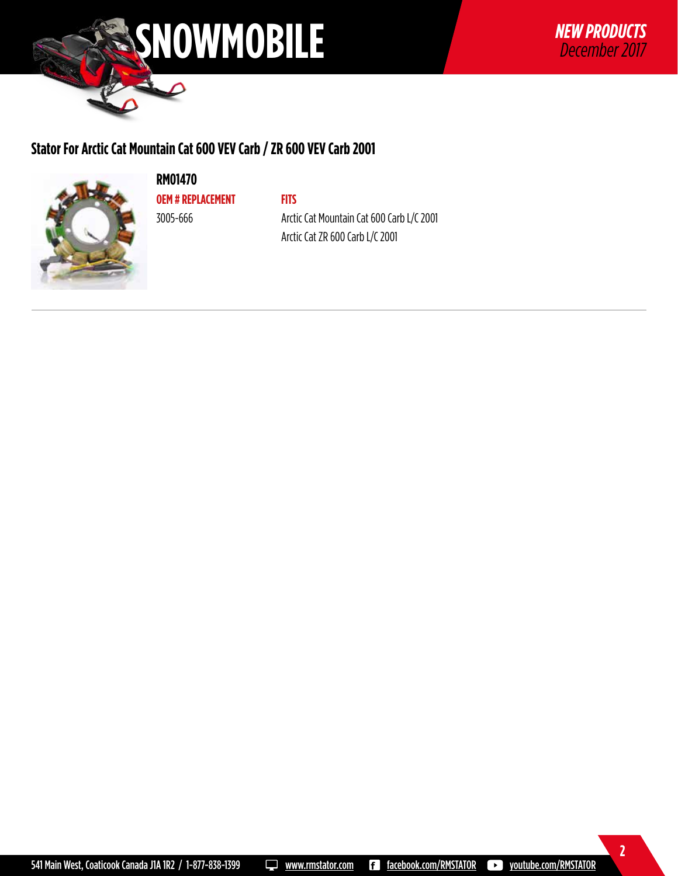

## **Stator For Arctic Cat Mountain Cat 600 VEV Carb / ZR 600 VEV Carb 2001**



**RM01470 OEM # REPLACEMENT**

3005-666

**FITS** Arctic Cat Mountain Cat 600 Carb L/C 2001 Arctic Cat ZR 600 Carb L/C 2001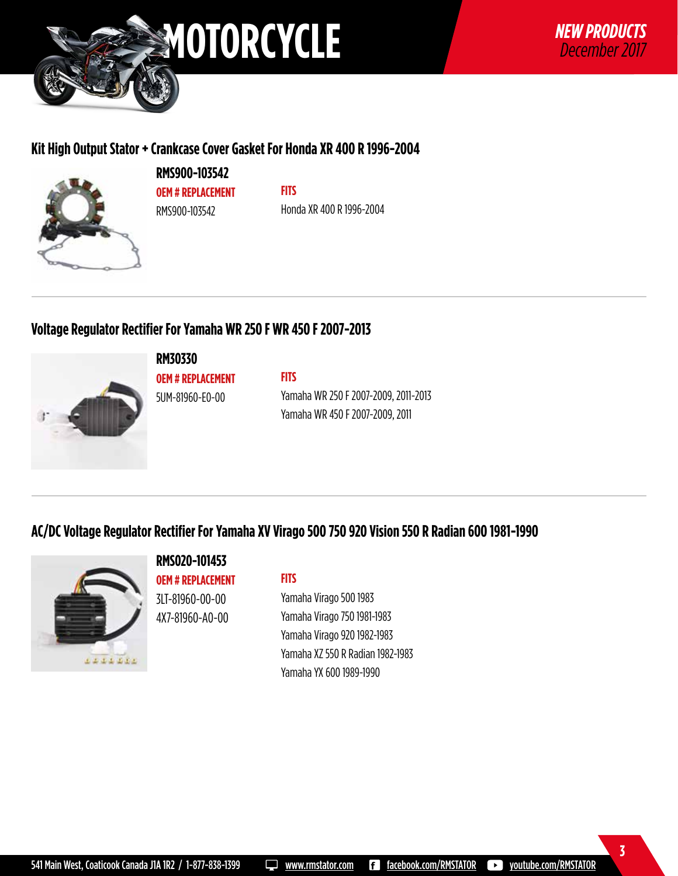

#### **Kit High Output Stator + Crankcase Cover Gasket For Honda XR 400 R 1996-2004**



**RMS900-103542 OEM # REPLACEMENT** RMS900-103542

**FITS** Honda XR 400 R 1996-2004

### **Voltage Regulator Rectifier For Yamaha WR 250 F WR 450 F 2007-2013**



**RM30330**

**OEM # REPLACEMENT** 5UM-81960-E0-00

Yamaha WR 250 F 2007-2009, 2011-2013 Yamaha WR 450 F 2007-2009, 2011

# **AC/DC Voltage Regulator Rectifier For Yamaha XV Virago 500 750 920 Vision 550 R Radian 600 1981-1990**

**FITS**



#### **RMS020-101453 OEM # REPLACEMENT**

3LT-81960-00-00 4X7-81960-A0-00

#### **FITS**

Yamaha Virago 500 1983 Yamaha Virago 750 1981-1983 Yamaha Virago 920 1982-1983 Yamaha XZ 550 R Radian 1982-1983 Yamaha YX 600 1989-1990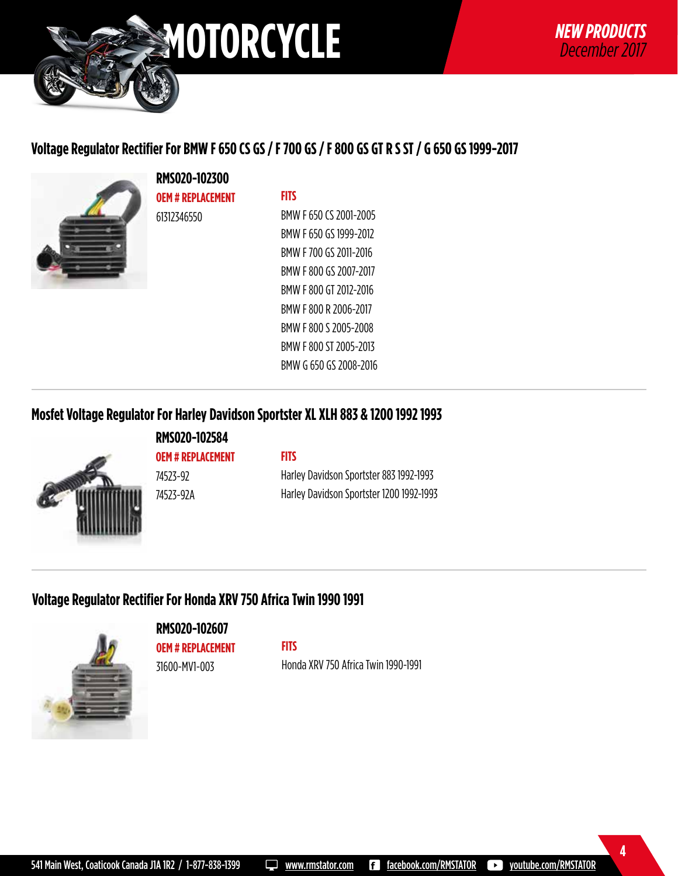

# **Voltage Regulator Rectifier For BMW F 650 CS GS / F 700 GS / F 800 GS GT R S ST / G 650 GS 1999-2017**



**RMS020-102300 OEM # REPLACEMENT** 61312346550

#### **FITS**

BMW F 650 CS 2001-2005 BMW F 650 GS 1999-2012 BMW F 700 GS 2011-2016 BMW F 800 GS 2007-2017 BMW F 800 GT 2012-2016 BMW F 800 R 2006-2017 BMW F 800 S 2005-2008 BMW F 800 ST 2005-2013 BMW G 650 GS 2008-2016

#### **Mosfet Voltage Regulator For Harley Davidson Sportster XL XLH 883 & 1200 1992 1993**



**RMS020-102584 OEM # REPLACEMENT** 74523-92 74523-92A

#### **FITS**

Harley Davidson Sportster 883 1992-1993 Harley Davidson Sportster 1200 1992-1993

# **Voltage Regulator Rectifier For Honda XRV 750 Africa Twin 1990 1991**



**RMS020-102607 OEM # REPLACEMENT**

31600-MV1-003

**FITS**

Honda XRV 750 Africa Twin 1990-1991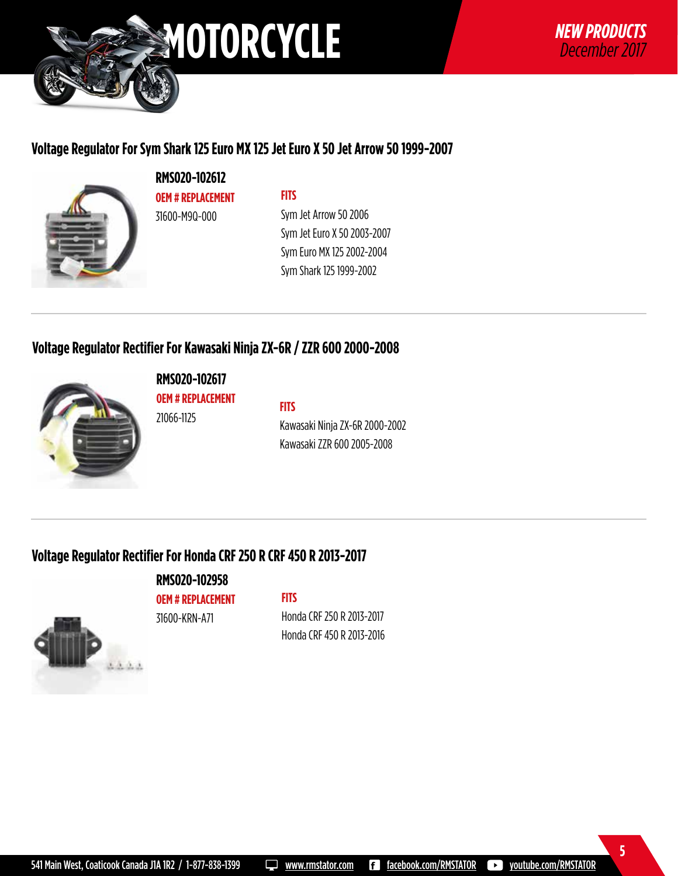

# **Voltage Regulator For Sym Shark 125 Euro MX 125 Jet Euro X 50 Jet Arrow 50 1999-2007**



**RMS020-102612 OEM # REPLACEMENT** 31600-M9Q-000

#### **FITS**

Sym Jet Arrow 50 2006 Sym Jet Euro X 50 2003-2007 Sym Euro MX 125 2002-2004 Sym Shark 125 1999-2002

#### **Voltage Regulator Rectifier For Kawasaki Ninja ZX-6R / ZZR 600 2000-2008**



**RMS020-102617 OEM # REPLACEMENT** 21066-1125

**FITS**

Kawasaki Ninja ZX-6R 2000-2002 Kawasaki ZZR 600 2005-2008

# **Voltage Regulator Rectifier For Honda CRF 250 R CRF 450 R 2013-2017**

31600-KRN-A71

 $1.1.1.1$ 

**RMS020-102958 OEM # REPLACEMENT**

#### **FITS**

Honda CRF 250 R 2013-2017 Honda CRF 450 R 2013-2016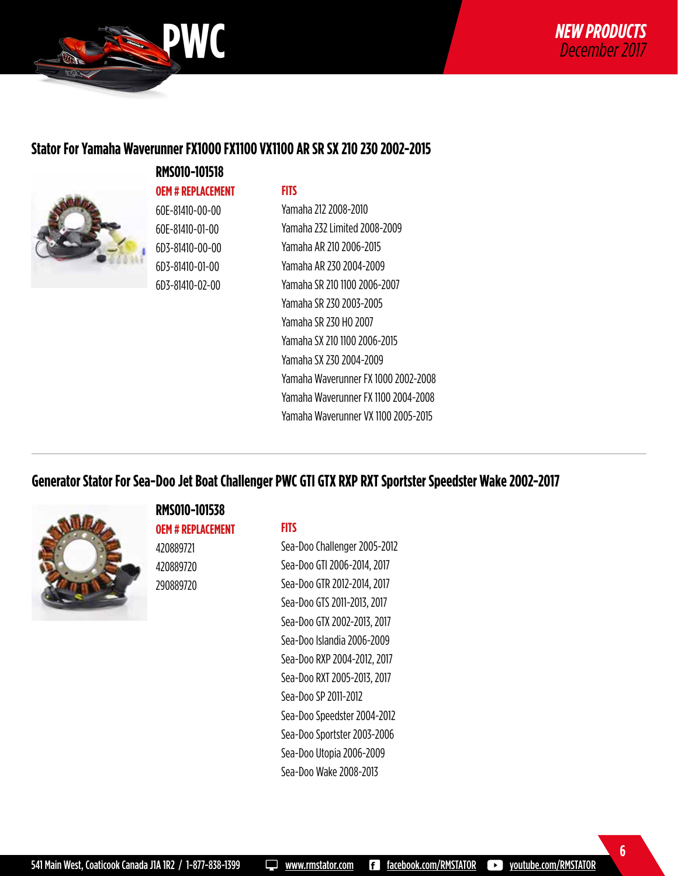

#### **Stator For Yamaha Waverunner FX1000 FX1100 VX1100 AR SR SX 210 230 2002-2015**



# **RMS010-101518 OEM # REPLACEMENT** 60E-81410-00-00 60E-81410-01-00

6D3-81410-00-00 6D3-81410-01-00 6D3-81410-02-00

#### **FITS**

Yamaha 212 2008-2010 Yamaha 232 Limited 2008-2009 Yamaha AR 210 2006-2015 Yamaha AR 230 2004-2009 Yamaha SR 210 1100 2006-2007 Yamaha SR 230 2003-2005 Yamaha SR 230 HO 2007 Yamaha SX 210 1100 2006-2015 Yamaha SX 230 2004-2009 Yamaha Waverunner FX 1000 2002-2008 Yamaha Waverunner FX 1100 2004-2008 Yamaha Waverunner VX 1100 2005-2015

### **Generator Stator For Sea-Doo Jet Boat Challenger PWC GTI GTX RXP RXT Sportster Speedster Wake 2002-2017**



#### **RMS010-101538**

**OEM # REPLACEMENT** 420889721 420889720 290889720

#### **FITS**

Sea-Doo Challenger 2005-2012 Sea-Doo GTI 2006-2014, 2017 Sea-Doo GTR 2012-2014, 2017 Sea-Doo GTS 2011-2013, 2017 Sea-Doo GTX 2002-2013, 2017 Sea-Doo Islandia 2006-2009 Sea-Doo RXP 2004-2012, 2017 Sea-Doo RXT 2005-2013, 2017 Sea-Doo SP 2011-2012 Sea-Doo Speedster 2004-2012 Sea-Doo Sportster 2003-2006 Sea-Doo Utopia 2006-2009 Sea-Doo Wake 2008-2013